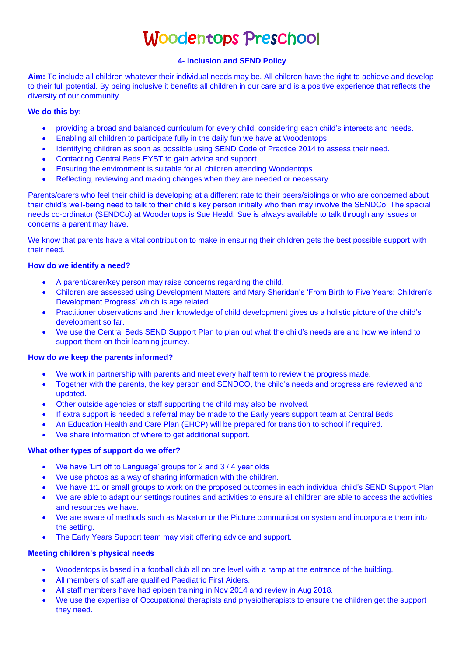# Woodentops Preschool

## **4- Inclusion and SEND Policy**

**Aim:** To include all children whatever their individual needs may be. All children have the right to achieve and develop to their full potential. By being inclusive it benefits all children in our care and is a positive experience that reflects the diversity of our community.

## **We do this by:**

- providing a broad and balanced curriculum for every child, considering each child's interests and needs.
- Enabling all children to participate fully in the daily fun we have at Woodentops
- Identifying children as soon as possible using SEND Code of Practice 2014 to assess their need.
- Contacting Central Beds EYST to gain advice and support.
- Ensuring the environment is suitable for all children attending Woodentops.
- Reflecting, reviewing and making changes when they are needed or necessary.

Parents/carers who feel their child is developing at a different rate to their peers/siblings or who are concerned about their child's well-being need to talk to their child's key person initially who then may involve the SENDCo. The special needs co-ordinator (SENDCo) at Woodentops is Sue Heald. Sue is always available to talk through any issues or concerns a parent may have.

We know that parents have a vital contribution to make in ensuring their children gets the best possible support with their need.

## **How do we identify a need?**

- A parent/carer/key person may raise concerns regarding the child.
- Children are assessed using Development Matters and Mary Sheridan's 'From Birth to Five Years: Children's Development Progress' which is age related.
- Practitioner observations and their knowledge of child development gives us a holistic picture of the child's development so far.
- We use the Central Beds SEND Support Plan to plan out what the child's needs are and how we intend to support them on their learning journey.

#### **How do we keep the parents informed?**

- We work in partnership with parents and meet every half term to review the progress made.
- Together with the parents, the key person and SENDCO, the child's needs and progress are reviewed and updated.
- Other outside agencies or staff supporting the child may also be involved.
- If extra support is needed a referral may be made to the Early years support team at Central Beds.
- An Education Health and Care Plan (EHCP) will be prepared for transition to school if required.
- We share information of where to get additional support.

#### **What other types of support do we offer?**

- We have 'Lift off to Language' groups for 2 and 3 / 4 year olds
- We use photos as a way of sharing information with the children.
- We have 1:1 or small groups to work on the proposed outcomes in each individual child's SEND Support Plan
- We are able to adapt our settings routines and activities to ensure all children are able to access the activities and resources we have.
- We are aware of methods such as Makaton or the Picture communication system and incorporate them into the setting.
- The Early Years Support team may visit offering advice and support.

#### **Meeting children's physical needs**

- Woodentops is based in a football club all on one level with a ramp at the entrance of the building.
- All members of staff are qualified Paediatric First Aiders.
- All staff members have had epipen training in Nov 2014 and review in Aug 2018.
- We use the expertise of Occupational therapists and physiotherapists to ensure the children get the support they need.